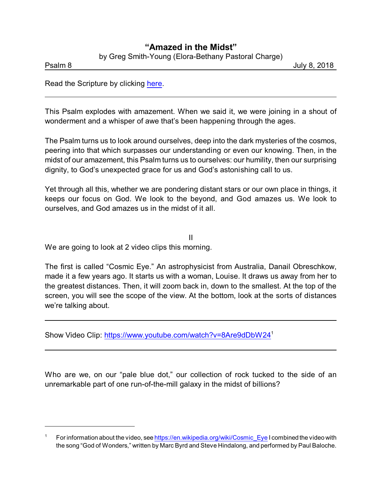## **"Amazed in the Midst"**

by Greg Smith-Young (Elora-Bethany Pastoral Charge)

Psalm 8 July 8, 2018

Read the Scripture by clicking [here](https://www.biblegateway.com/passage/?search=Psalm+8&version=NRSV).

This Psalm explodes with amazement. When we said it, we were joining in a shout of wonderment and a whisper of awe that's been happening through the ages.

The Psalm turns us to look around ourselves, deep into the dark mysteries of the cosmos, peering into that which surpasses our understanding or even our knowing. Then, in the midst of our amazement, this Psalm turns us to ourselves: our humility, then our surprising dignity, to God's unexpected grace for us and God's astonishing call to us.

Yet through all this, whether we are pondering distant stars or our own place in things, it keeps our focus on God. We look to the beyond, and God amazes us. We look to ourselves, and God amazes us in the midst of it all.

II We are going to look at 2 video clips this morning.

The first is called "Cosmic Eye." An astrophysicist from Australia, Danail Obreschkow, made it a few years ago. It starts us with a woman, Louise. It draws us away from her to the greatest distances. Then, it will zoom back in, down to the smallest. At the top of the screen, you will see the scope of the view. At the bottom, look at the sorts of distances we're talking about.

Show Video Clip:<https://www.youtube.com/watch?v=8Are9dDbW24><sup>1</sup>

Who are we, on our "pale blue dot," our collection of rock tucked to the side of an unremarkable part of one run-of-the-mill galaxy in the midst of billions?

For information about the video, see [https://en.wikipedia.org/wiki/Cosmic\\_Eye](https://en.wikipedia.org/wiki/Cosmic_Eye) I combined the video with the song "God of Wonders," written by Marc Byrd and Steve Hindalong, and performed by Paul Baloche.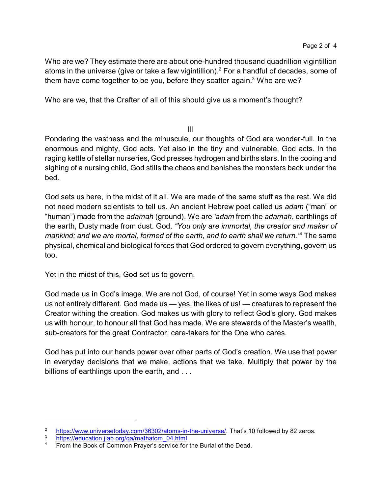Who are we? They estimate there are about one-hundred thousand quadrillion vigintillion atoms in the universe (give or take a few vigintillion). $^{\rm 2}$  For a handful of decades, some of them have come together to be you, before they scatter again. $^3$  Who are we?

Who are we, that the Crafter of all of this should give us a moment's thought?

III

Pondering the vastness and the minuscule, our thoughts of God are wonder-full. In the enormous and mighty, God acts. Yet also in the tiny and vulnerable, God acts. In the raging kettle of stellar nurseries, God presses hydrogen and births stars. In the cooing and sighing of a nursing child, God stills the chaos and banishes the monsters back under the bed.

God sets us here, in the midst of it all. We are made of the same stuff as the rest. We did not need modern scientists to tell us. An ancient Hebrew poet called us *adam* ("man" or "human") made from the *adamah* (ground). We are *'adam* from the *adamah*, earthlings of the earth, Dusty made from dust. God, *"You only are immortal, the creator and maker of mankind; and we are mortal, formed of the earth, and to earth shall we return."*<sup>4</sup> The same physical, chemical and biological forces that God ordered to govern everything, govern us too.

Yet in the midst of this, God set us to govern.

God made us in God's image. We are not God, of course! Yet in some ways God makes us not entirely different. God made us — yes, the likes of us! — creatures to represent the Creator withing the creation. God makes us with glory to reflect God's glory. God makes us with honour, to honour all that God has made. We are stewards of the Master's wealth, sub-creators for the great Contractor, care-takers for the One who cares.

God has put into our hands power over other parts of God's creation. We use that power in everyday decisions that we make, actions that we take. Multiply that power by the billions of earthlings upon the earth, and ...

 $\frac{2}{3}$  <https://www.universetoday.com/36302/atoms-in-the-universe/>. That's 10 followed by 82 zeros.

 $\frac{3}{4}$  [https://education.jlab.org/qa/mathatom\\_04.html](https://education.jlab.org/qa/mathatom_04.html)

From the Book of Common Prayer's service for the Burial of the Dead.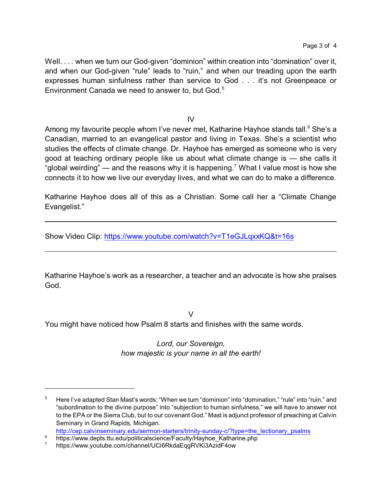Well. . . . when we turn our God-given "dominion" within creation into "domination" over it, and when our God-given "rule" leads to "ruin," and when our treading upon the earth expresses human sinfulness rather than service to God . . . it's not Greenpeace or Environment Canada we need to answer to, but God.<sup>5</sup>

IV

Among my favourite people whom I've never met, Katharine Hayhoe stands tall. <sup>6</sup> She's a Canadian, married to an evangelical pastor and living in Texas. She's a scientist who studies the effects of climate change. Dr. Hayhoe has emerged as someone who is very good at teaching ordinary people like us about what climate change is — she calls it "global weirding" — and the reasons why it is happening.<sup>7</sup> What I value most is how she connects it to how we live our everyday lives, and what we can do to make a difference.

Katharine Hayhoe does all of this as a Christian. Some call her a "Climate Change Evangelist."

Show Video Clip:<https://www.youtube.com/watch?v=T1eGJLqxxKQ&t=16s>

Katharine Hayhoe's work as a researcher, a teacher and an advocate is how she praises God.

 $\vee$ 

You might have noticed how Psalm 8 starts and finishes with the same words.

*Lord, our Sovereign, how majestic is your name in all the earth!*

<sup>&</sup>lt;sup>5</sup> Here I've adapted Stan Mast's words: "When we turn "dominion" into "domination," "rule" into "ruin," and "subordination to the divine purpose" into "subjection to human sinfulness," we will have to answer not to the EPA or the Sierra Club, but to our covenant God." Mast is adjunct professor of preaching at Calvin Seminary in Grand Rapids, Michigan.

[http://cep.calvinseminary.edu/sermon-starters/trinity-sunday-c/?type=the\\_lectionary\\_psalms](http://cep.calvinseminary.edu/sermon-starters/trinity-sunday-c/?type=the_lectionary_psalms)

<sup>&</sup>lt;sup>6</sup> https://www.depts.ttu.edu/politicalscience/Faculty/Hayhoe\_Katharine.php

https://www.youtube.com/channel/UCi6RkdaEqgRVKi3AzidF4ow